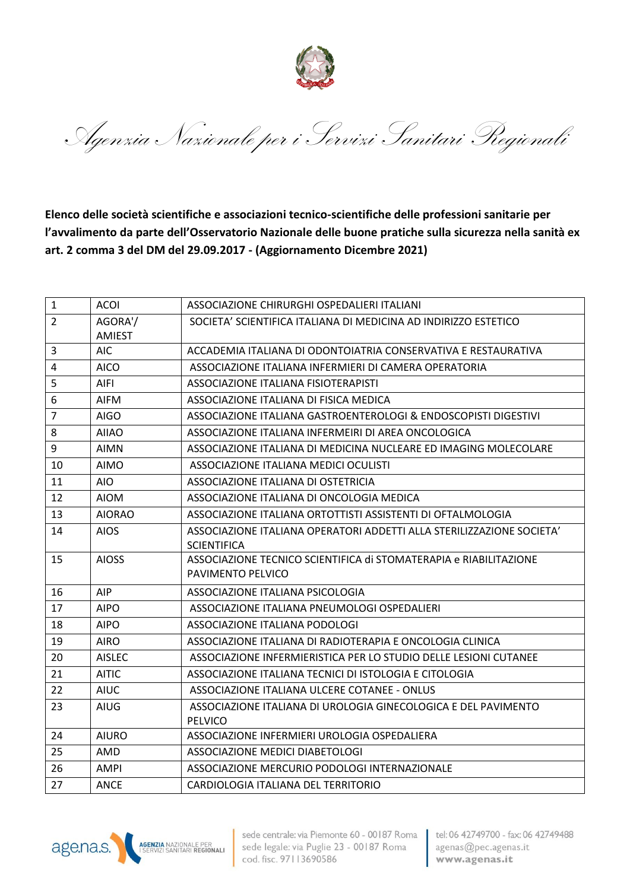

Agenzia Nazionale per i Servizi Sanitari Regionali

**Elenco delle società scientifiche e associazioni tecnico-scientifiche delle professioni sanitarie per l'avvalimento da parte dell'Osservatorio Nazionale delle buone pratiche sulla sicurezza nella sanità ex art. 2 comma 3 del DM del 29.09.2017 - (Aggiornamento Dicembre 2021)**

| $\mathbf{1}$   | <b>ACOI</b>   | ASSOCIAZIONE CHIRURGHI OSPEDALIERI ITALIANI                           |
|----------------|---------------|-----------------------------------------------------------------------|
| $\overline{2}$ | AGORA'/       | SOCIETA' SCIENTIFICA ITALIANA DI MEDICINA AD INDIRIZZO ESTETICO       |
|                | <b>AMIEST</b> |                                                                       |
| $\overline{3}$ | <b>AIC</b>    | ACCADEMIA ITALIANA DI ODONTOIATRIA CONSERVATIVA E RESTAURATIVA        |
| $\overline{4}$ | <b>AICO</b>   | ASSOCIAZIONE ITALIANA INFERMIERI DI CAMERA OPERATORIA                 |
| 5              | AIFI          | ASSOCIAZIONE ITALIANA FISIOTERAPISTI                                  |
| 6              | <b>AIFM</b>   | ASSOCIAZIONE ITALIANA DI FISICA MEDICA                                |
| $\overline{7}$ | AIGO          | ASSOCIAZIONE ITALIANA GASTROENTEROLOGI & ENDOSCOPISTI DIGESTIVI       |
| 8              | <b>AIIAO</b>  | ASSOCIAZIONE ITALIANA INFERMEIRI DI AREA ONCOLOGICA                   |
| 9              | <b>AIMN</b>   | ASSOCIAZIONE ITALIANA DI MEDICINA NUCLEARE ED IMAGING MOLECOLARE      |
| 10             | <b>AIMO</b>   | ASSOCIAZIONE ITALIANA MEDICI OCULISTI                                 |
| 11             | AIO.          | ASSOCIAZIONE ITALIANA DI OSTETRICIA                                   |
| 12             | <b>AIOM</b>   | ASSOCIAZIONE ITALIANA DI ONCOLOGIA MEDICA                             |
| 13             | <b>AIORAO</b> | ASSOCIAZIONE ITALIANA ORTOTTISTI ASSISTENTI DI OFTALMOLOGIA           |
| 14             | <b>AIOS</b>   | ASSOCIAZIONE ITALIANA OPERATORI ADDETTI ALLA STERILIZZAZIONE SOCIETA' |
|                |               | <b>SCIENTIFICA</b>                                                    |
| 15             | <b>AIOSS</b>  | ASSOCIAZIONE TECNICO SCIENTIFICA di STOMATERAPIA e RIABILITAZIONE     |
|                |               | PAVIMENTO PELVICO                                                     |
| 16             | AIP           | ASSOCIAZIONE ITALIANA PSICOLOGIA                                      |
| 17             | <b>AIPO</b>   | ASSOCIAZIONE ITALIANA PNEUMOLOGI OSPEDALIERI                          |
| 18             | <b>AIPO</b>   | ASSOCIAZIONE ITALIANA PODOLOGI                                        |
| 19             | <b>AIRO</b>   | ASSOCIAZIONE ITALIANA DI RADIOTERAPIA E ONCOLOGIA CLINICA             |
| 20             | <b>AISLEC</b> | ASSOCIAZIONE INFERMIERISTICA PER LO STUDIO DELLE LESIONI CUTANEE      |
| 21             | <b>AITIC</b>  | ASSOCIAZIONE ITALIANA TECNICI DI ISTOLOGIA E CITOLOGIA                |
| 22             | <b>AIUC</b>   | ASSOCIAZIONE ITALIANA ULCERE COTANEE - ONLUS                          |
| 23             | <b>AIUG</b>   | ASSOCIAZIONE ITALIANA DI UROLOGIA GINECOLOGICA E DEL PAVIMENTO        |
|                |               | PELVICO                                                               |
| 24             | <b>AIURO</b>  | ASSOCIAZIONE INFERMIERI UROLOGIA OSPEDALIERA                          |
| 25             | AMD           | ASSOCIAZIONE MEDICI DIABETOLOGI                                       |
| 26             | <b>AMPI</b>   | ASSOCIAZIONE MERCURIO PODOLOGI INTERNAZIONALE                         |
| 27             | <b>ANCE</b>   | CARDIOLOGIA ITALIANA DEL TERRITORIO                                   |



sede centrale: via Piemonte 60 - 00187 Roma sede legale: via Puglie 23 - 00187 Roma cod. fisc. 97113690586

tel: 06 42749700 - fax: 06 42749488 agenas@pec.agenas.it www.agenas.it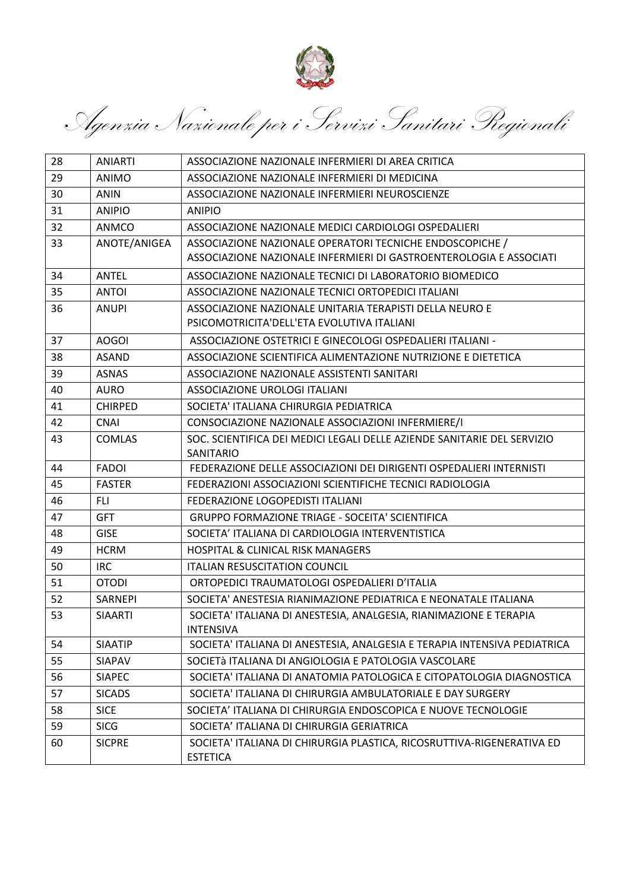

Agenzia Nazionale per i Servizi Sanitari Regionali

| 28 | <b>ANIARTI</b> | ASSOCIAZIONE NAZIONALE INFERMIERI DI AREA CRITICA                                        |
|----|----------------|------------------------------------------------------------------------------------------|
| 29 | <b>ANIMO</b>   | ASSOCIAZIONE NAZIONALE INFERMIERI DI MEDICINA                                            |
| 30 | <b>ANIN</b>    | ASSOCIAZIONE NAZIONALE INFERMIERI NEUROSCIENZE                                           |
| 31 | <b>ANIPIO</b>  | <b>ANIPIO</b>                                                                            |
| 32 | <b>ANMCO</b>   | ASSOCIAZIONE NAZIONALE MEDICI CARDIOLOGI OSPEDALIERI                                     |
| 33 | ANOTE/ANIGEA   | ASSOCIAZIONE NAZIONALE OPERATORI TECNICHE ENDOSCOPICHE /                                 |
|    |                | ASSOCIAZIONE NAZIONALE INFERMIERI DI GASTROENTEROLOGIA E ASSOCIATI                       |
| 34 | <b>ANTEL</b>   | ASSOCIAZIONE NAZIONALE TECNICI DI LABORATORIO BIOMEDICO                                  |
| 35 | <b>ANTOI</b>   | ASSOCIAZIONE NAZIONALE TECNICI ORTOPEDICI ITALIANI                                       |
| 36 | <b>ANUPI</b>   | ASSOCIAZIONE NAZIONALE UNITARIA TERAPISTI DELLA NEURO E                                  |
|    |                | PSICOMOTRICITA'DELL'ETA EVOLUTIVA ITALIANI                                               |
| 37 | <b>AOGOI</b>   | ASSOCIAZIONE OSTETRICI E GINECOLOGI OSPEDALIERI ITALIANI -                               |
| 38 | <b>ASAND</b>   | ASSOCIAZIONE SCIENTIFICA ALIMENTAZIONE NUTRIZIONE E DIETETICA                            |
| 39 | <b>ASNAS</b>   | ASSOCIAZIONE NAZIONALE ASSISTENTI SANITARI                                               |
| 40 | <b>AURO</b>    | ASSOCIAZIONE UROLOGI ITALIANI                                                            |
| 41 | <b>CHIRPED</b> | SOCIETA' ITALIANA CHIRURGIA PEDIATRICA                                                   |
| 42 | <b>CNAI</b>    | CONSOCIAZIONE NAZIONALE ASSOCIAZIONI INFERMIERE/I                                        |
| 43 | <b>COMLAS</b>  | SOC. SCIENTIFICA DEI MEDICI LEGALI DELLE AZIENDE SANITARIE DEL SERVIZIO<br>SANITARIO     |
| 44 | <b>FADOI</b>   | FEDERAZIONE DELLE ASSOCIAZIONI DEI DIRIGENTI OSPEDALIERI INTERNISTI                      |
| 45 | <b>FASTER</b>  | FEDERAZIONI ASSOCIAZIONI SCIENTIFICHE TECNICI RADIOLOGIA                                 |
| 46 | <b>FLI</b>     | FEDERAZIONE LOGOPEDISTI ITALIANI                                                         |
| 47 | <b>GFT</b>     | <b>GRUPPO FORMAZIONE TRIAGE - SOCEITA' SCIENTIFICA</b>                                   |
| 48 | <b>GISE</b>    | SOCIETA' ITALIANA DI CARDIOLOGIA INTERVENTISTICA                                         |
| 49 | <b>HCRM</b>    | <b>HOSPITAL &amp; CLINICAL RISK MANAGERS</b>                                             |
| 50 | <b>IRC</b>     | <b>ITALIAN RESUSCITATION COUNCIL</b>                                                     |
| 51 | <b>OTODI</b>   | ORTOPEDICI TRAUMATOLOGI OSPEDALIERI D'ITALIA                                             |
| 52 | SARNEPI        | SOCIETA' ANESTESIA RIANIMAZIONE PEDIATRICA E NEONATALE ITALIANA                          |
| 53 | <b>SIAARTI</b> | SOCIETA' ITALIANA DI ANESTESIA, ANALGESIA, RIANIMAZIONE E TERAPIA<br><b>INTENSIVA</b>    |
| 54 | <b>SIAATIP</b> | SOCIETA' ITALIANA DI ANESTESIA, ANALGESIA E TERAPIA INTENSIVA PEDIATRICA                 |
| 55 | SIAPAV         | SOCIETÀ ITALIANA DI ANGIOLOGIA E PATOLOGIA VASCOLARE                                     |
| 56 | <b>SIAPEC</b>  | SOCIETA' ITALIANA DI ANATOMIA PATOLOGICA E CITOPATOLOGIA DIAGNOSTICA                     |
| 57 | <b>SICADS</b>  | SOCIETA' ITALIANA DI CHIRURGIA AMBULATORIALE E DAY SURGERY                               |
| 58 | <b>SICE</b>    | SOCIETA' ITALIANA DI CHIRURGIA ENDOSCOPICA E NUOVE TECNOLOGIE                            |
| 59 | <b>SICG</b>    | SOCIETA' ITALIANA DI CHIRURGIA GERIATRICA                                                |
| 60 | <b>SICPRE</b>  | SOCIETA' ITALIANA DI CHIRURGIA PLASTICA, RICOSRUTTIVA-RIGENERATIVA ED<br><b>ESTETICA</b> |